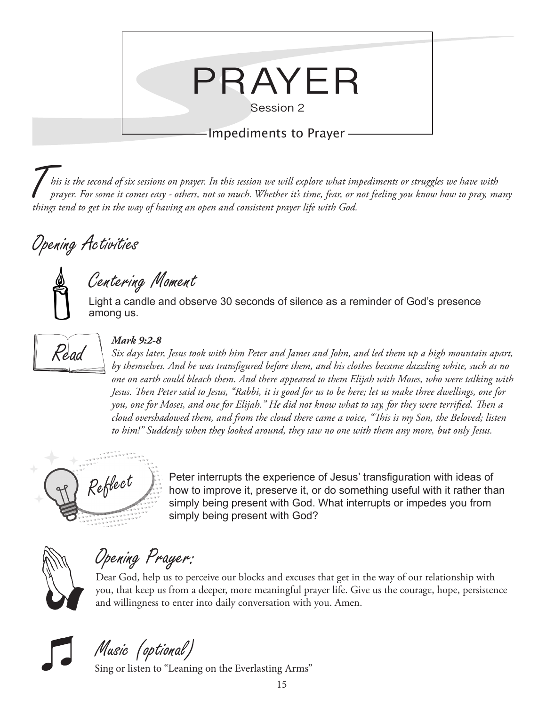

T*his is the second of six sessions on prayer. In this session we will explore what impediments or struggles we have with prayer. For some it comes easy - others, not so much. Whether it's time, fear, or not feeling you know how to pray, many things tend to get in the way of having an open and consistent prayer life with God.*

## Opening Activities

### Centering Moment

Light a candle and observe 30 seconds of silence as a reminder of God's presence among us.



#### *Mark 9:2-8*

*Six days later, Jesus took with him Peter and James and John, and led them up a high mountain apart, by themselves. And he was transfigured before them, and his clothes became dazzling white, such as no one on earth could bleach them. And there appeared to them Elijah with Moses, who were talking with Jesus. Then Peter said to Jesus, "Rabbi, it is good for us to be here; let us make three dwellings, one for you, one for Moses, and one for Elijah." He did not know what to say, for they were terrified. Then a cloud overshadowed them, and from the cloud there came a voice, "This is my Son, the Beloved; listen to him!" Suddenly when they looked around, they saw no one with them any more, but only Jesus.*



 $Re\acute{t}$  Peter interrupts the experience of Jesus' transfiguration with ideas of  $Re\acute{t}$  how to improve it, preserve it, or do something useful with it rather than simply being present with God. What interrupts or impedes you from simply being present with God?



Opening Prayer:

Dear God, help us to perceive our blocks and excuses that get in the way of our relationship with you, that keep us from a deeper, more meaningful prayer life. Give us the courage, hope, persistence and willingness to enter into daily conversation with you. Amen.



Music (optional)

Sing or listen to "Leaning on the Everlasting Arms"